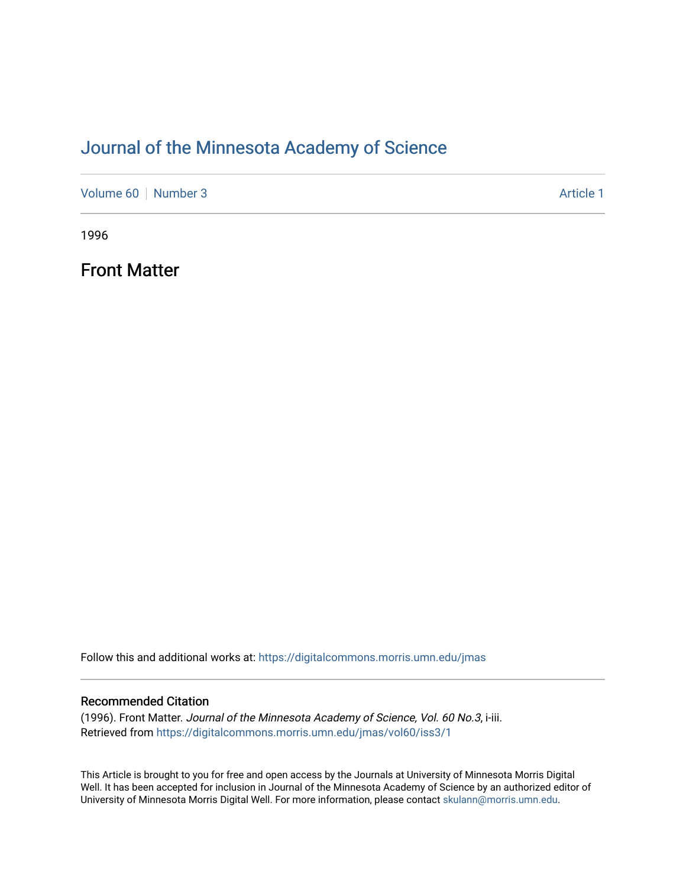### [Journal of the Minnesota Academy of Science](https://digitalcommons.morris.umn.edu/jmas)

[Volume 60](https://digitalcommons.morris.umn.edu/jmas/vol60) [Number 3](https://digitalcommons.morris.umn.edu/jmas/vol60/iss3) Article 1

1996

Front Matter

Follow this and additional works at: [https://digitalcommons.morris.umn.edu/jmas](https://digitalcommons.morris.umn.edu/jmas?utm_source=digitalcommons.morris.umn.edu%2Fjmas%2Fvol60%2Fiss3%2F1&utm_medium=PDF&utm_campaign=PDFCoverPages) 

### Recommended Citation

(1996). Front Matter. Journal of the Minnesota Academy of Science, Vol. 60 No.3, i-iii. Retrieved from [https://digitalcommons.morris.umn.edu/jmas/vol60/iss3/1](https://digitalcommons.morris.umn.edu/jmas/vol60/iss3/1?utm_source=digitalcommons.morris.umn.edu%2Fjmas%2Fvol60%2Fiss3%2F1&utm_medium=PDF&utm_campaign=PDFCoverPages)

This Article is brought to you for free and open access by the Journals at University of Minnesota Morris Digital Well. It has been accepted for inclusion in Journal of the Minnesota Academy of Science by an authorized editor of University of Minnesota Morris Digital Well. For more information, please contact [skulann@morris.umn.edu](mailto:skulann@morris.umn.edu).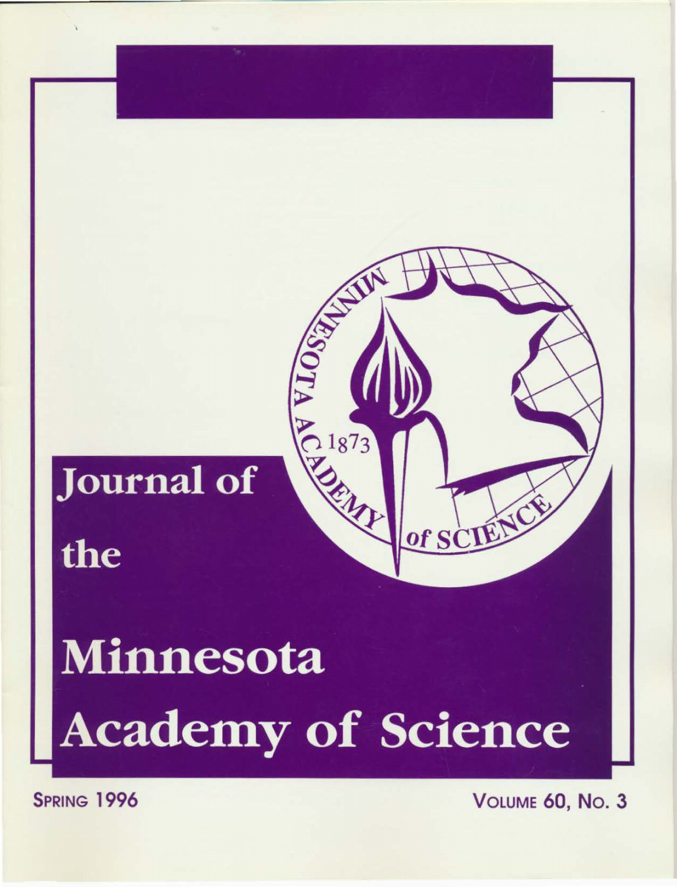

# Minnesota **Academy of Science**

**SPRING 1996**  VOLUME 60, No. 3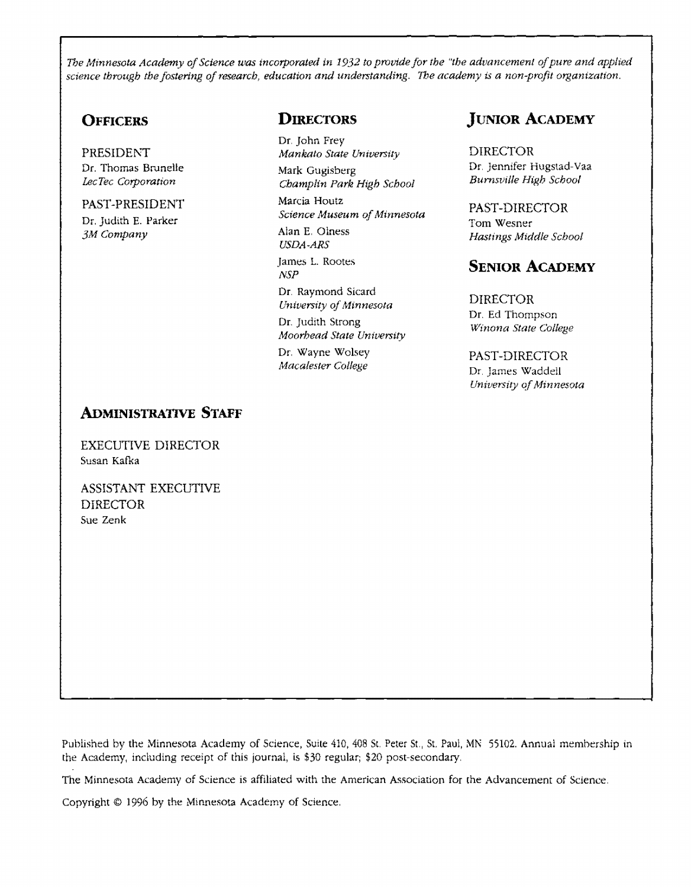*The Minnesota Academy of Science was incorporated in 1932 to provide for the "the advancement of pure and applied science through the fostering of research, education and understanding. The academy* is *a non-profit organization.* 

### **OFFICERS**

PRESIDENT Dr. Thomas Brunelle LecTec Corporation

### PAST-PRESIDENT Dr. Judith E. Parker

*3M Company* 

### **DIRECTORS**

Dr. John Frey *Mankato State UniverSity*  Mark Gugisberg *Champlin Park High School*  Marcia Houtz *Science Museum of Minnesota*  Alan E, Oiness *USDA-ARS*  James L. Rootes *NSP*  Dr. Raymond Sicard

*Untversity of Mtrmesota*  Dr. Judith Strong *Moorhead State University* 

Dr, Wayne Wolsey *Macalester College* 

### **JUNIOR ACADEMY**

DIRECTOR Dr. Jennifer Hugstad-Vaa *Burnsville High School* 

PAST-DIRECTOR Tom Wesner *Hastings Mtddle School* 

### **SENIOR ACADEMY**

DIRECTOR Dr. Ed Thompson *Winona State College* 

PAST-DIRECTOR Dr. James Waddell *UniverSity qf Minnesota* 

### **ADMINISTRATIVE STAFF**

EXECUTIVE DIRECTOR Susan Kafka

ASSISTANT EXECUTIVE DIRECTOR Sue Zenk

Published by the Minnesota Academy of Science, Suite 410, 408 St. Peter St., St. Paul, MN 55102. Annual membership in the Academy, including receipt of this journal, is \$30 regular; \$20 post-secondary.

The Minnesota Academy of Science is affiliated with the American Association for the Advancement of Science.

Copyright © 1996 by the Minnesota Academy of Science,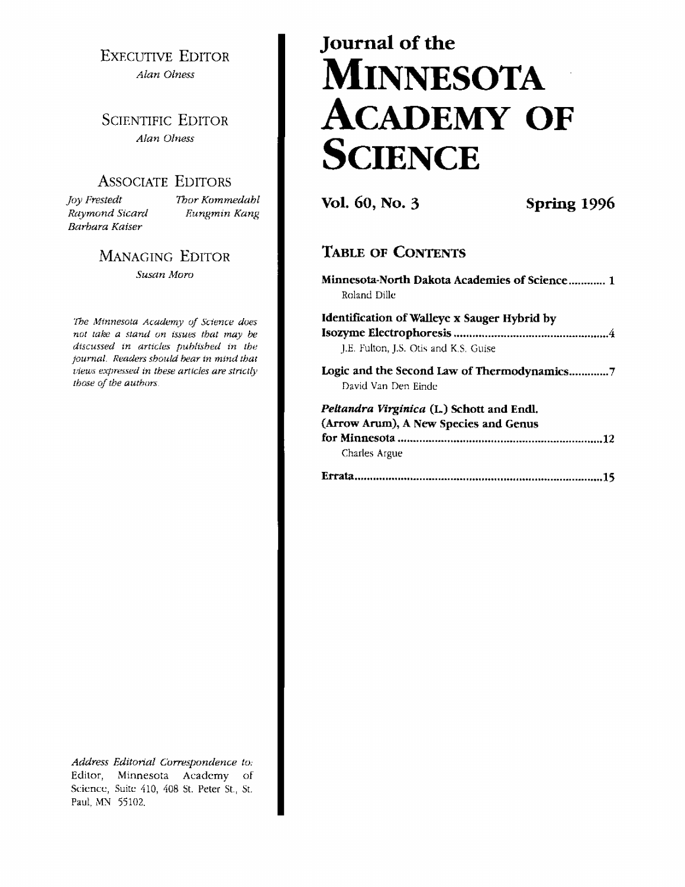**EXECUTIVE EDITOR** Alan Olness

**SCIENTIFIC EDITOR** Alan Olness

### **ASSOCIATE EDITORS**

Joy Frestedt Raymond Sicard Barbara Kaiser

Thor Kommedabl Eungmin Kang

**MANAGING EDITOR** Susan Moro

The Minnesota Academy of Science does not take a stand on issues that may be discussed in articles published in the journal. Readers should bear in mind that views expressed in these articles are strictly those of the authors.

Address Editorial Correspondence to: Editor, Minnesota Academy of Science, Suite 410, 408 St. Peter St., St. Paul, MN 55102.

# Journal of the **MINNESOTA ACADEMY OF SCIENCE**

Vol. 60, No. 3

Spring 1996

### **TABLE OF CONTENTS**

|              | Minnesota-North Dakota Academies of Science 1 |
|--------------|-----------------------------------------------|
| Roland Dille |                                               |

| Identification of Walleye x Sauger Hybrid by |  |
|----------------------------------------------|--|
| J.E. Fulton, J.S. Otis and K.S. Guise        |  |

Logic and the Second Law of Thermodynamics...............7 David Van Den Einde

### Peltandra Virginica (L.) Schott and Endl. (Arrow Arum), A New Species and Genus Charles Argue

|--|--|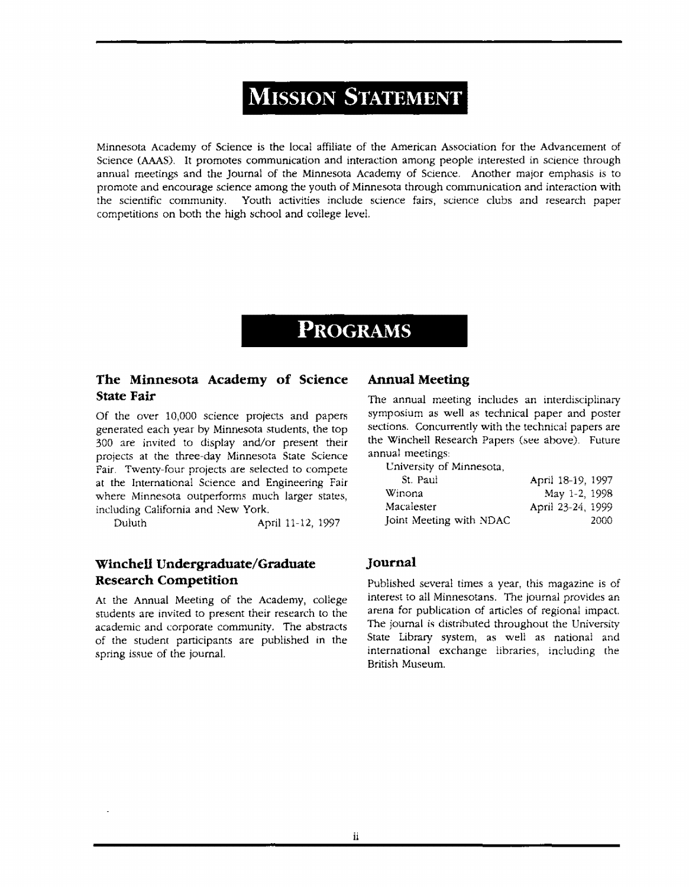# **MISSION STATEMENT**

Minnesota Academy of Science is the local affiliate of the American Association for the Advancement of Science (AAAS). It promotes communication and interaction among people interested in science through annual meetings and the Journal of the Minnesota Academy of Science. Another major emphasis is to promote and encourage science among the youth of Minnesota through communication and interaction with the scientific community. Youth activities include science fairs, science clubs and research paper competitions on both the high school and college level.

## **PROGRAMS**

### **The Minnesota Academy of Science State Fair**

Of the over 10,000 science projects and papers generated each year by Minnesota students, the top 300 are invited to display and/or present their projects at the three-day Minnesota State Science Fair. Twenty-four projects are selected to compete at the International Science and Engineering Fair where Minnesota outperforms much larger states, including California and New York.

Duluth April 11-12, 1997

### **Winchell Undergraduate/Graduate Research Competition**

At the Annual Meeting of the Academy, college students are invited to present their research to the academic and corporate community. The abstracts of the student participants are published tn the spring issue of the journal.

### **Annual Meeting**

The annual meeting includes an interdisciplinary symposium as well as technical paper and poster sections. Concurrently with the technical papers are the Winche!l Research Papers (see above). Future annual meetings:

Cniversity of Minnesota,

| April 18-19, 1997 |
|-------------------|
| May 1-2, 1998     |
| April 23-24, 1999 |
| 2000              |
|                   |

### **Journal**

Published several times a year, this magazine is of interest to all Minnesotans. The journal provides an arena for publication of articles of regional impact. The journal is distributed throughout the University State Library system, as well as national and international exchange libraries, including the British Museum.